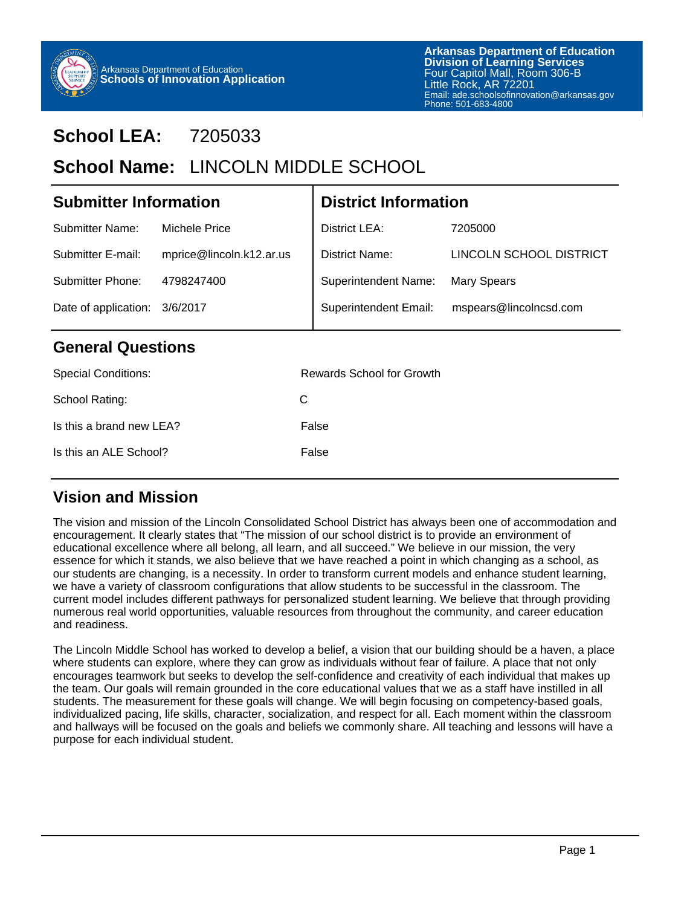

# **School LEA:** 7205033

## School Name: LINCOLN MIDDLE SCHOOL

| <b>Submitter Information</b>     |                          | <b>District Information</b>  |                         |  |  |
|----------------------------------|--------------------------|------------------------------|-------------------------|--|--|
| <b>Submitter Name:</b>           | <b>Michele Price</b>     | District LEA:                | 7205000                 |  |  |
| Submitter E-mail:                | mprice@lincoln.k12.ar.us | District Name:               | LINCOLN SCHOOL DISTRICT |  |  |
| Submitter Phone:                 | 4798247400               | <b>Superintendent Name:</b>  | <b>Mary Spears</b>      |  |  |
| Date of application:<br>3/6/2017 |                          | <b>Superintendent Email:</b> | mspears@lincolncsd.com  |  |  |
| <b>General Questions</b>         |                          |                              |                         |  |  |

## **General Questions**

| <b>Special Conditions:</b> | Rewards School for Growth |
|----------------------------|---------------------------|
| School Rating:             | C                         |
| Is this a brand new LEA?   | False                     |
| Is this an ALE School?     | False                     |
|                            |                           |

## **Vision and Mission**

The vision and mission of the Lincoln Consolidated School District has always been one of accommodation and encouragement. It clearly states that "The mission of our school district is to provide an environment of educational excellence where all belong, all learn, and all succeed." We believe in our mission, the very essence for which it stands, we also believe that we have reached a point in which changing as a school, as our students are changing, is a necessity. In order to transform current models and enhance student learning, we have a variety of classroom configurations that allow students to be successful in the classroom. The current model includes different pathways for personalized student learning. We believe that through providing numerous real world opportunities, valuable resources from throughout the community, and career education and readiness.

The Lincoln Middle School has worked to develop a belief, a vision that our building should be a haven, a place where students can explore, where they can grow as individuals without fear of failure. A place that not only encourages teamwork but seeks to develop the self-confidence and creativity of each individual that makes up the team. Our goals will remain grounded in the core educational values that we as a staff have instilled in all students. The measurement for these goals will change. We will begin focusing on competency-based goals, individualized pacing, life skills, character, socialization, and respect for all. Each moment within the classroom and hallways will be focused on the goals and beliefs we commonly share. All teaching and lessons will have a purpose for each individual student.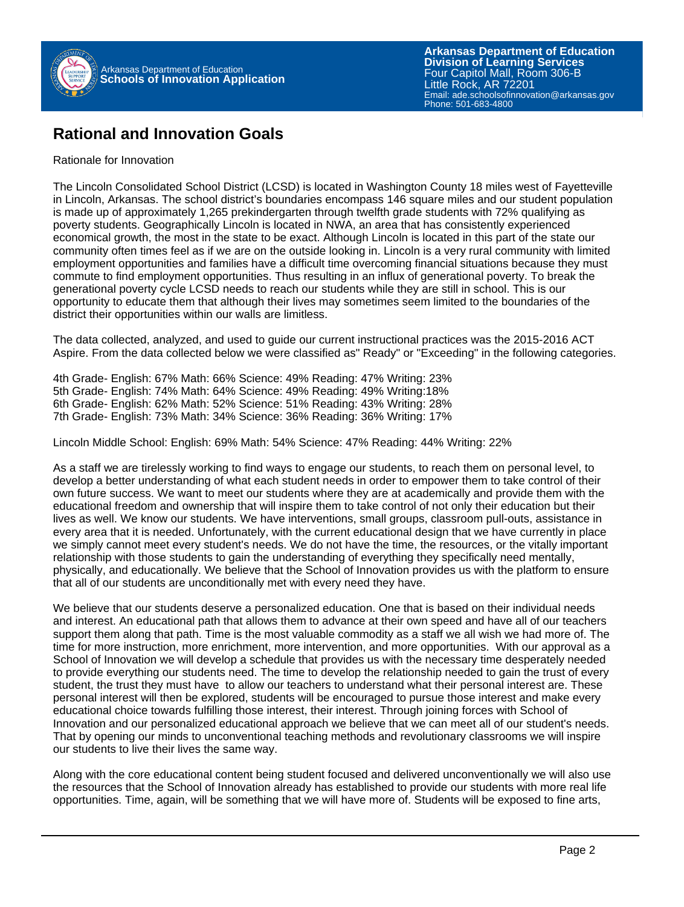

### **Rational and Innovation Goals**

#### Rationale for Innovation

The Lincoln Consolidated School District (LCSD) is located in Washington County 18 miles west of Fayetteville in Lincoln, Arkansas. The school district's boundaries encompass 146 square miles and our student population is made up of approximately 1,265 prekindergarten through twelfth grade students with 72% qualifying as poverty students. Geographically Lincoln is located in NWA, an area that has consistently experienced economical growth, the most in the state to be exact. Although Lincoln is located in this part of the state our community often times feel as if we are on the outside looking in. Lincoln is a very rural community with limited employment opportunities and families have a difficult time overcoming financial situations because they must commute to find employment opportunities. Thus resulting in an influx of generational poverty. To break the generational poverty cycle LCSD needs to reach our students while they are still in school. This is our opportunity to educate them that although their lives may sometimes seem limited to the boundaries of the district their opportunities within our walls are limitless.

The data collected, analyzed, and used to guide our current instructional practices was the 2015-2016 ACT Aspire. From the data collected below we were classified as" Ready" or "Exceeding" in the following categories.

4th Grade- English: 67% Math: 66% Science: 49% Reading: 47% Writing: 23% 5th Grade- English: 74% Math: 64% Science: 49% Reading: 49% Writing:18% 6th Grade- English: 62% Math: 52% Science: 51% Reading: 43% Writing: 28% 7th Grade- English: 73% Math: 34% Science: 36% Reading: 36% Writing: 17%

Lincoln Middle School: English: 69% Math: 54% Science: 47% Reading: 44% Writing: 22%

As a staff we are tirelessly working to find ways to engage our students, to reach them on personal level, to develop a better understanding of what each student needs in order to empower them to take control of their own future success. We want to meet our students where they are at academically and provide them with the educational freedom and ownership that will inspire them to take control of not only their education but their lives as well. We know our students. We have interventions, small groups, classroom pull-outs, assistance in every area that it is needed. Unfortunately, with the current educational design that we have currently in place we simply cannot meet every student's needs. We do not have the time, the resources, or the vitally important relationship with those students to gain the understanding of everything they specifically need mentally, physically, and educationally. We believe that the School of Innovation provides us with the platform to ensure that all of our students are unconditionally met with every need they have.

We believe that our students deserve a personalized education. One that is based on their individual needs and interest. An educational path that allows them to advance at their own speed and have all of our teachers support them along that path. Time is the most valuable commodity as a staff we all wish we had more of. The time for more instruction, more enrichment, more intervention, and more opportunities. With our approval as a School of Innovation we will develop a schedule that provides us with the necessary time desperately needed to provide everything our students need. The time to develop the relationship needed to gain the trust of every student, the trust they must have to allow our teachers to understand what their personal interest are. These personal interest will then be explored, students will be encouraged to pursue those interest and make every educational choice towards fulfilling those interest, their interest. Through joining forces with School of Innovation and our personalized educational approach we believe that we can meet all of our student's needs. That by opening our minds to unconventional teaching methods and revolutionary classrooms we will inspire our students to live their lives the same way.

Along with the core educational content being student focused and delivered unconventionally we will also use the resources that the School of Innovation already has established to provide our students with more real life opportunities. Time, again, will be something that we will have more of. Students will be exposed to fine arts,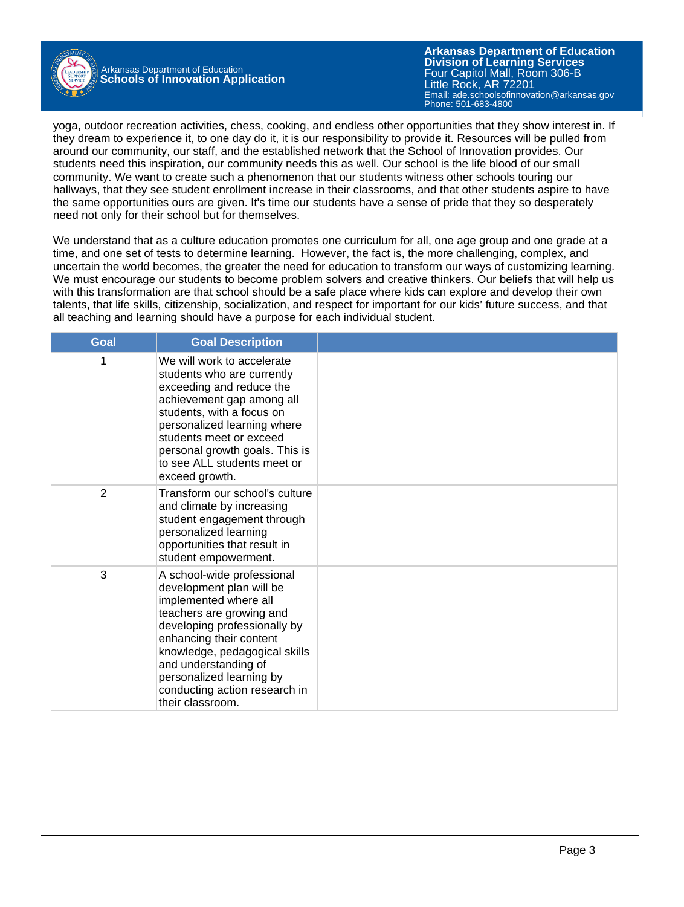

Arkansas Department of Education **Schools of Innovation Application**

**Arkansas Department of Education** Email: ade.schoolsofinnovation@arkansas.gov **Division of Learning Services** Four Capitol Mall, Room 306-B Little Rock, AR 72201 Phone: 501-683-4800

yoga, outdoor recreation activities, chess, cooking, and endless other opportunities that they show interest in. If they dream to experience it, to one day do it, it is our responsibility to provide it. Resources will be pulled from around our community, our staff, and the established network that the School of Innovation provides. Our students need this inspiration, our community needs this as well. Our school is the life blood of our small community. We want to create such a phenomenon that our students witness other schools touring our hallways, that they see student enrollment increase in their classrooms, and that other students aspire to have the same opportunities ours are given. It's time our students have a sense of pride that they so desperately need not only for their school but for themselves.

We understand that as a culture education promotes one curriculum for all, one age group and one grade at a time, and one set of tests to determine learning. However, the fact is, the more challenging, complex, and uncertain the world becomes, the greater the need for education to transform our ways of customizing learning. We must encourage our students to become problem solvers and creative thinkers. Our beliefs that will help us with this transformation are that school should be a safe place where kids can explore and develop their own talents, that life skills, citizenship, socialization, and respect for important for our kids' future success, and that all teaching and learning should have a purpose for each individual student.

| <b>Goal</b> | <b>Goal Description</b>                                                                                                                                                                                                                                                                                          |  |
|-------------|------------------------------------------------------------------------------------------------------------------------------------------------------------------------------------------------------------------------------------------------------------------------------------------------------------------|--|
| 1           | We will work to accelerate<br>students who are currently<br>exceeding and reduce the<br>achievement gap among all<br>students, with a focus on<br>personalized learning where<br>students meet or exceed<br>personal growth goals. This is<br>to see ALL students meet or<br>exceed growth.                      |  |
| 2           | Transform our school's culture<br>and climate by increasing<br>student engagement through<br>personalized learning<br>opportunities that result in<br>student empowerment.                                                                                                                                       |  |
| 3           | A school-wide professional<br>development plan will be<br>implemented where all<br>teachers are growing and<br>developing professionally by<br>enhancing their content<br>knowledge, pedagogical skills<br>and understanding of<br>personalized learning by<br>conducting action research in<br>their classroom. |  |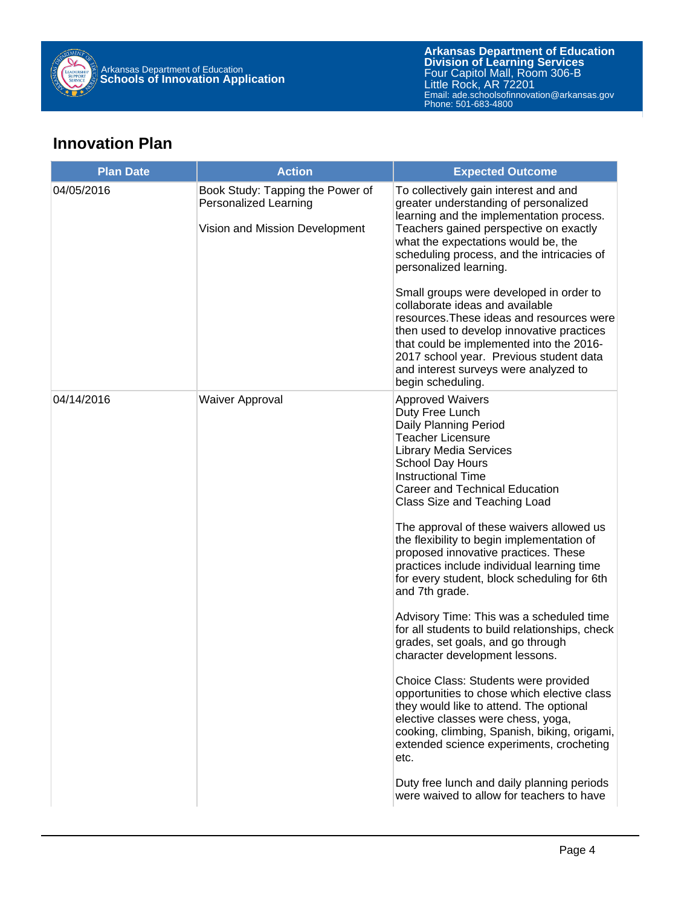

## **Innovation Plan**

| <b>Plan Date</b> | <b>Action</b>                                             | <b>Expected Outcome</b>                                                                                                                                                                                                                                                                                                   |  |  |  |
|------------------|-----------------------------------------------------------|---------------------------------------------------------------------------------------------------------------------------------------------------------------------------------------------------------------------------------------------------------------------------------------------------------------------------|--|--|--|
| 04/05/2016       | Book Study: Tapping the Power of<br>Personalized Learning | To collectively gain interest and and<br>greater understanding of personalized<br>learning and the implementation process.                                                                                                                                                                                                |  |  |  |
|                  | Vision and Mission Development                            | Teachers gained perspective on exactly<br>what the expectations would be, the<br>scheduling process, and the intricacies of<br>personalized learning.                                                                                                                                                                     |  |  |  |
|                  |                                                           | Small groups were developed in order to<br>collaborate ideas and available<br>resources. These ideas and resources were<br>then used to develop innovative practices<br>that could be implemented into the 2016-<br>2017 school year. Previous student data<br>and interest surveys were analyzed to<br>begin scheduling. |  |  |  |
| 04/14/2016       | <b>Waiver Approval</b>                                    | <b>Approved Waivers</b><br>Duty Free Lunch<br>Daily Planning Period<br><b>Teacher Licensure</b><br><b>Library Media Services</b><br>School Day Hours<br><b>Instructional Time</b><br>Career and Technical Education<br>Class Size and Teaching Load                                                                       |  |  |  |
|                  |                                                           | The approval of these waivers allowed us<br>the flexibility to begin implementation of<br>proposed innovative practices. These<br>practices include individual learning time<br>for every student, block scheduling for 6th<br>and 7th grade.                                                                             |  |  |  |
|                  |                                                           | Advisory Time: This was a scheduled time<br>for all students to build relationships, check<br>grades, set goals, and go through<br>character development lessons.                                                                                                                                                         |  |  |  |
|                  |                                                           | Choice Class: Students were provided<br>opportunities to chose which elective class<br>they would like to attend. The optional<br>elective classes were chess, yoga,<br>cooking, climbing, Spanish, biking, origami,<br>extended science experiments, crocheting<br>etc.                                                  |  |  |  |
|                  |                                                           | Duty free lunch and daily planning periods<br>were waived to allow for teachers to have                                                                                                                                                                                                                                   |  |  |  |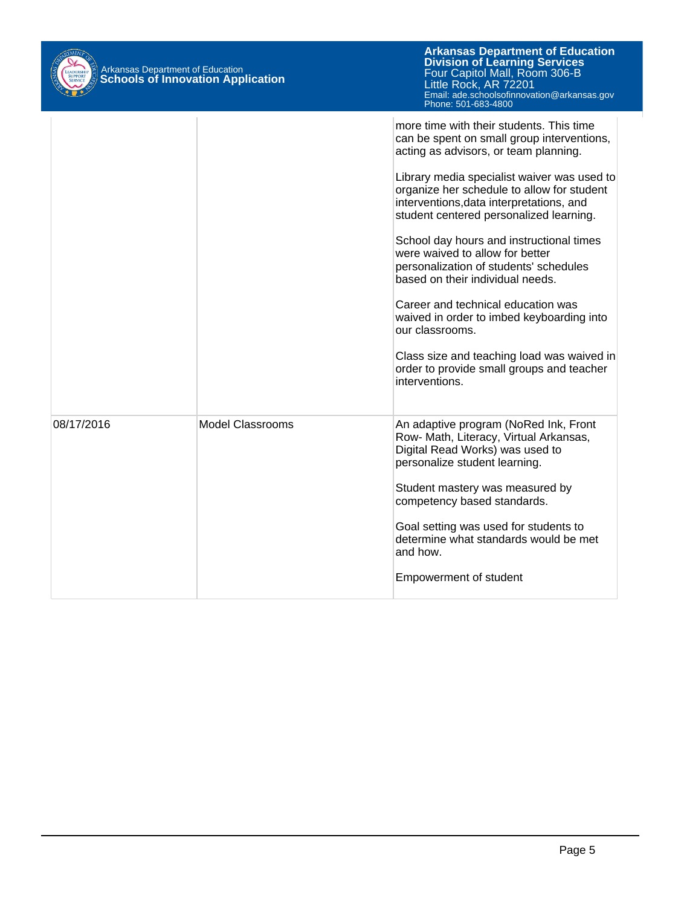| Arkansas Department of Education<br>Schools of Innovation Application |                  | <b>Arkansas Department of Education</b><br><b>Division of Learning Services</b><br>Four Capitol Mall, Room 306-B<br>Little Rock, AR 72201<br>Email: ade.schoolsofinnovation@arkansas.gov<br>Phone: 501-683-4800                                                                                                                                                                                                                                                                                                                                                                                                                                                                                     |
|-----------------------------------------------------------------------|------------------|-----------------------------------------------------------------------------------------------------------------------------------------------------------------------------------------------------------------------------------------------------------------------------------------------------------------------------------------------------------------------------------------------------------------------------------------------------------------------------------------------------------------------------------------------------------------------------------------------------------------------------------------------------------------------------------------------------|
|                                                                       |                  | more time with their students. This time<br>can be spent on small group interventions,<br>acting as advisors, or team planning.<br>Library media specialist waiver was used to<br>organize her schedule to allow for student<br>interventions, data interpretations, and<br>student centered personalized learning.<br>School day hours and instructional times<br>were waived to allow for better<br>personalization of students' schedules<br>based on their individual needs.<br>Career and technical education was<br>waived in order to imbed keyboarding into<br>our classrooms.<br>Class size and teaching load was waived in<br>order to provide small groups and teacher<br>interventions. |
| 08/17/2016                                                            | Model Classrooms | An adaptive program (NoRed Ink, Front<br>Row- Math, Literacy, Virtual Arkansas,<br>Digital Read Works) was used to<br>personalize student learning.<br>Student mastery was measured by<br>competency based standards.<br>Goal setting was used for students to<br>determine what standards would be met<br>and how.<br><b>Empowerment of student</b>                                                                                                                                                                                                                                                                                                                                                |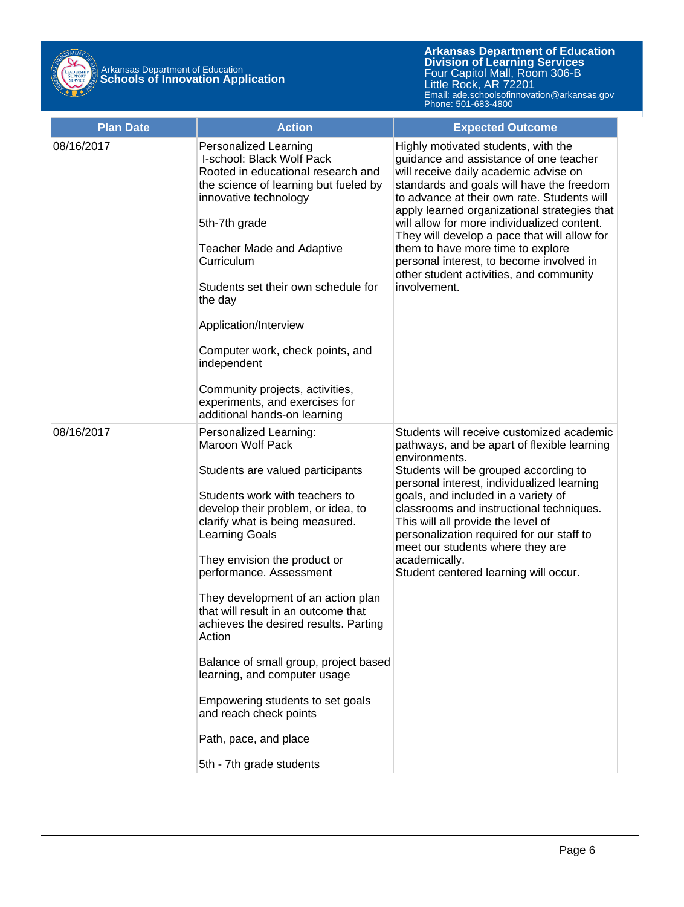

| <b>Plan Date</b> | <b>Action</b>                                                                                                                                                                                                                                                                                                                                                                                                                                                                                                                                                                                                    | <b>Expected Outcome</b>                                                                                                                                                                                                                                                                                                                                                                                                                                                                                       |
|------------------|------------------------------------------------------------------------------------------------------------------------------------------------------------------------------------------------------------------------------------------------------------------------------------------------------------------------------------------------------------------------------------------------------------------------------------------------------------------------------------------------------------------------------------------------------------------------------------------------------------------|---------------------------------------------------------------------------------------------------------------------------------------------------------------------------------------------------------------------------------------------------------------------------------------------------------------------------------------------------------------------------------------------------------------------------------------------------------------------------------------------------------------|
| 08/16/2017       | <b>Personalized Learning</b><br>I-school: Black Wolf Pack<br>Rooted in educational research and<br>the science of learning but fueled by<br>innovative technology<br>5th-7th grade<br><b>Teacher Made and Adaptive</b><br>Curriculum<br>Students set their own schedule for<br>the day<br>Application/Interview<br>Computer work, check points, and<br>independent<br>Community projects, activities,<br>experiments, and exercises for<br>additional hands-on learning                                                                                                                                          | Highly motivated students, with the<br>guidance and assistance of one teacher<br>will receive daily academic advise on<br>standards and goals will have the freedom<br>to advance at their own rate. Students will<br>apply learned organizational strategies that<br>will allow for more individualized content.<br>They will develop a pace that will allow for<br>them to have more time to explore<br>personal interest, to become involved in<br>other student activities, and community<br>involvement. |
| 08/16/2017       | Personalized Learning:<br><b>Maroon Wolf Pack</b><br>Students are valued participants<br>Students work with teachers to<br>develop their problem, or idea, to<br>clarify what is being measured.<br><b>Learning Goals</b><br>They envision the product or<br>performance. Assessment<br>They development of an action plan<br>that will result in an outcome that<br>achieves the desired results. Parting<br>Action<br>Balance of small group, project based<br>learning, and computer usage<br>Empowering students to set goals<br>and reach check points<br>Path, pace, and place<br>5th - 7th grade students | Students will receive customized academic<br>pathways, and be apart of flexible learning<br>environments.<br>Students will be grouped according to<br>personal interest, individualized learning<br>goals, and included in a variety of<br>classrooms and instructional techniques.<br>This will all provide the level of<br>personalization required for our staff to<br>meet our students where they are<br>academically.<br>Student centered learning will occur.                                          |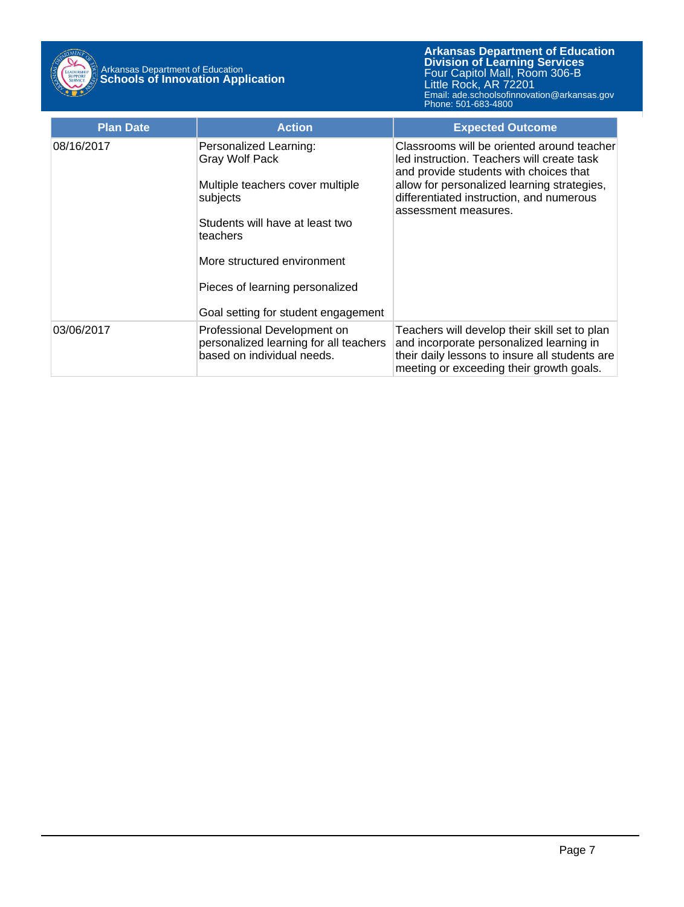

| <b>Plan Date</b> | <b>Action</b>                                                                                                                                  | <b>Expected Outcome</b>                                                                                                                                                                                                                               |
|------------------|------------------------------------------------------------------------------------------------------------------------------------------------|-------------------------------------------------------------------------------------------------------------------------------------------------------------------------------------------------------------------------------------------------------|
| 08/16/2017       | Personalized Learning:<br><b>Gray Wolf Pack</b><br>Multiple teachers cover multiple<br>subjects<br>Students will have at least two<br>teachers | Classrooms will be oriented around teacher<br>led instruction. Teachers will create task<br>and provide students with choices that<br>allow for personalized learning strategies,<br>differentiated instruction, and numerous<br>assessment measures. |
|                  | More structured environment<br>Pieces of learning personalized<br>Goal setting for student engagement                                          |                                                                                                                                                                                                                                                       |
| 03/06/2017       | Professional Development on<br>personalized learning for all teachers<br>based on individual needs.                                            | Teachers will develop their skill set to plan<br>and incorporate personalized learning in<br>their daily lessons to insure all students are<br>meeting or exceeding their growth goals.                                                               |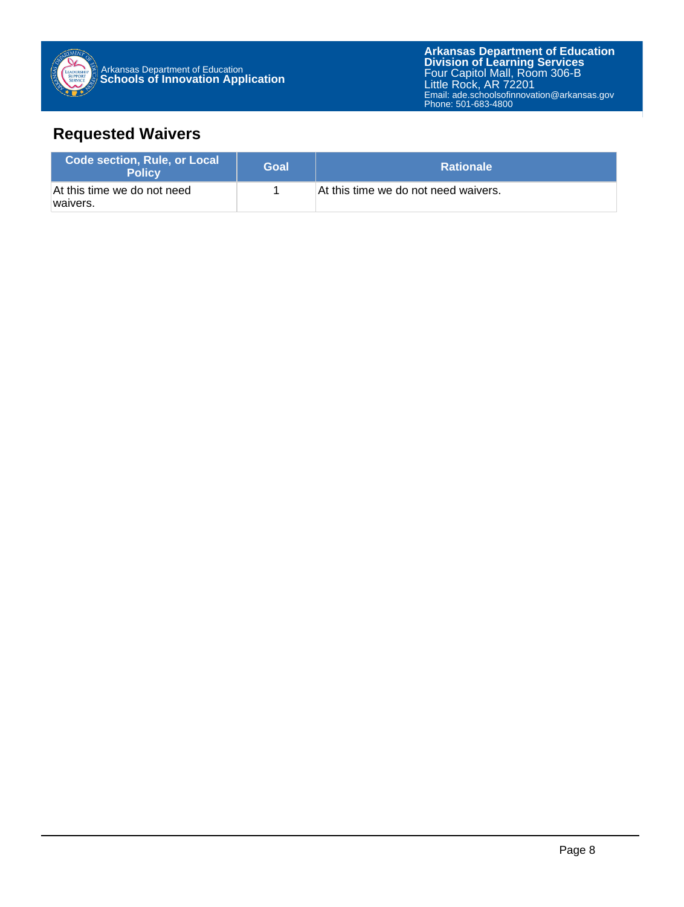

## **Requested Waivers**

| <b>Code section, Rule, or Local</b><br><b>Policy</b> | Goal | <b>Rationale</b>                     |
|------------------------------------------------------|------|--------------------------------------|
| At this time we do not need<br>waivers.              |      | At this time we do not need waivers. |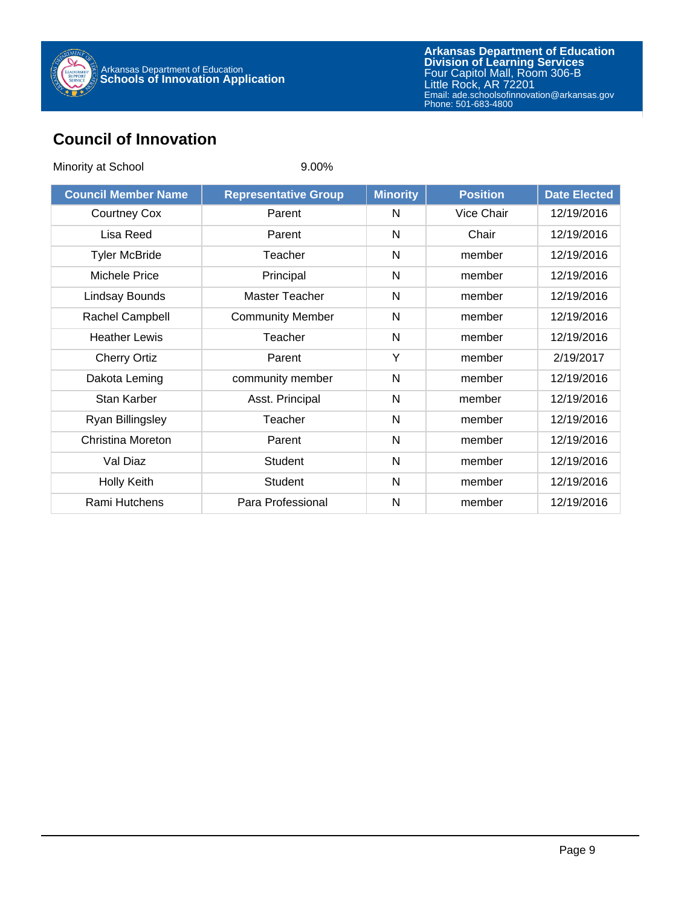

## **Council of Innovation**

| Minority at School         | $9.00\%$                    |                 |                 |                     |
|----------------------------|-----------------------------|-----------------|-----------------|---------------------|
| <b>Council Member Name</b> | <b>Representative Group</b> | <b>Minority</b> | <b>Position</b> | <b>Date Elected</b> |
| <b>Courtney Cox</b>        | Parent                      | N               | Vice Chair      | 12/19/2016          |
| Lisa Reed                  | Parent                      | N               | Chair           | 12/19/2016          |
| <b>Tyler McBride</b>       | Teacher                     | N               | member          | 12/19/2016          |
| Michele Price              | Principal                   | N               | member          | 12/19/2016          |
| Lindsay Bounds             | Master Teacher              | N               | member          | 12/19/2016          |
| Rachel Campbell            | <b>Community Member</b>     | $\mathsf{N}$    | member          | 12/19/2016          |
| <b>Heather Lewis</b>       | Teacher                     | N               | member          | 12/19/2016          |
| <b>Cherry Ortiz</b>        | Parent                      | Y               | member          | 2/19/2017           |
| Dakota Leming              | community member            | N               | member          | 12/19/2016          |
| <b>Stan Karber</b>         | Asst. Principal             | N               | member          | 12/19/2016          |
| Ryan Billingsley           | Teacher                     | N               | member          | 12/19/2016          |
| <b>Christina Moreton</b>   | Parent                      | N               | member          | 12/19/2016          |
| Val Diaz                   | <b>Student</b>              | $\mathsf{N}$    | member          | 12/19/2016          |
| <b>Holly Keith</b>         | <b>Student</b>              | N               | member          | 12/19/2016          |
| Rami Hutchens              | Para Professional           | N               | member          | 12/19/2016          |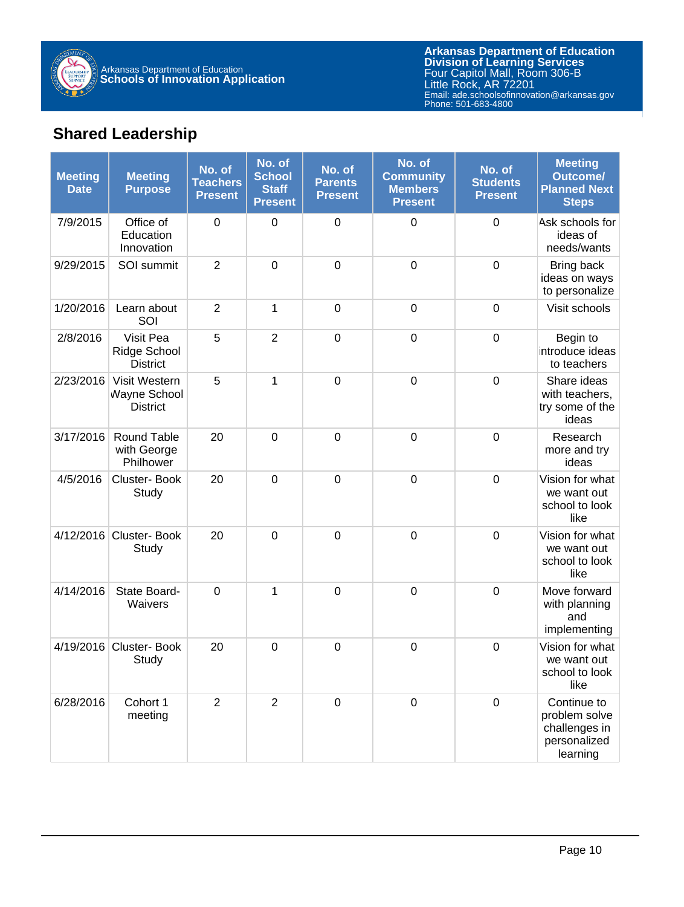

## **Shared Leadership**

| <b>Meeting</b><br><b>Date</b> | <b>Meeting</b><br><b>Purpose</b>                    | No. of<br><b>Teachers</b><br><b>Present</b> | No. of<br><b>School</b><br><b>Staff</b><br><b>Present</b> | No. of<br><b>Parents</b><br><b>Present</b> | No. of<br><b>Community</b><br><b>Members</b><br><b>Present</b> | No. of<br><b>Students</b><br><b>Present</b> | <b>Meeting</b><br><b>Outcome/</b><br><b>Planned Next</b><br><b>Steps</b>  |
|-------------------------------|-----------------------------------------------------|---------------------------------------------|-----------------------------------------------------------|--------------------------------------------|----------------------------------------------------------------|---------------------------------------------|---------------------------------------------------------------------------|
| 7/9/2015                      | Office of<br>Education<br>Innovation                | $\mathbf 0$                                 | $\boldsymbol{0}$                                          | $\mathbf 0$                                | 0                                                              | $\mathbf 0$                                 | Ask schools for<br>ideas of<br>needs/wants                                |
| 9/29/2015                     | SOI summit                                          | $\overline{2}$                              | $\mathbf 0$                                               | $\mathbf 0$                                | $\mathbf 0$                                                    | $\mathbf 0$                                 | Bring back<br>ideas on ways<br>to personalize                             |
| 1/20/2016                     | Learn about<br>SOI                                  | $\overline{2}$                              | 1                                                         | $\mathbf 0$                                | $\mathbf 0$                                                    | $\mathbf 0$                                 | Visit schools                                                             |
| 2/8/2016                      | Visit Pea<br><b>Ridge School</b><br><b>District</b> | 5                                           | $\overline{2}$                                            | $\mathbf 0$                                | $\mathbf 0$                                                    | $\mathbf 0$                                 | Begin to<br>introduce ideas<br>to teachers                                |
| 2/23/2016                     | Visit Western<br>Wayne School<br><b>District</b>    | 5                                           | 1                                                         | $\mathbf 0$                                | $\mathbf 0$                                                    | $\mathbf 0$                                 | Share ideas<br>with teachers,<br>try some of the<br>ideas                 |
| 3/17/2016                     | <b>Round Table</b><br>with George<br>Philhower      | 20                                          | $\mathbf 0$                                               | $\mathbf 0$                                | $\mathbf 0$                                                    | $\mathbf 0$                                 | Research<br>more and try<br>ideas                                         |
| 4/5/2016                      | Cluster-Book<br>Study                               | 20                                          | $\mathbf 0$                                               | $\mathbf 0$                                | $\mathbf 0$                                                    | $\mathbf 0$                                 | Vision for what<br>we want out<br>school to look<br>like                  |
| 4/12/2016                     | Cluster-Book<br>Study                               | 20                                          | $\mathbf 0$                                               | $\mathbf 0$                                | $\mathbf 0$                                                    | $\mathbf 0$                                 | Vision for what<br>we want out<br>school to look<br>like                  |
| 4/14/2016                     | State Board-<br>Waivers                             | $\mathbf 0$                                 | 1                                                         | $\mathbf 0$                                | $\mathbf 0$                                                    | $\mathbf 0$                                 | Move forward<br>with planning<br>and<br>implementing                      |
| 4/19/2016                     | Cluster-Book<br>Study                               | 20                                          | $\mathbf 0$                                               | $\boldsymbol{0}$                           | $\boldsymbol{0}$                                               | $\mathbf 0$                                 | Vision for what<br>we want out<br>school to look<br>like                  |
| 6/28/2016                     | Cohort 1<br>meeting                                 | $\overline{2}$                              | $\overline{2}$                                            | $\mathbf 0$                                | $\mathbf 0$                                                    | $\mathbf 0$                                 | Continue to<br>problem solve<br>challenges in<br>personalized<br>learning |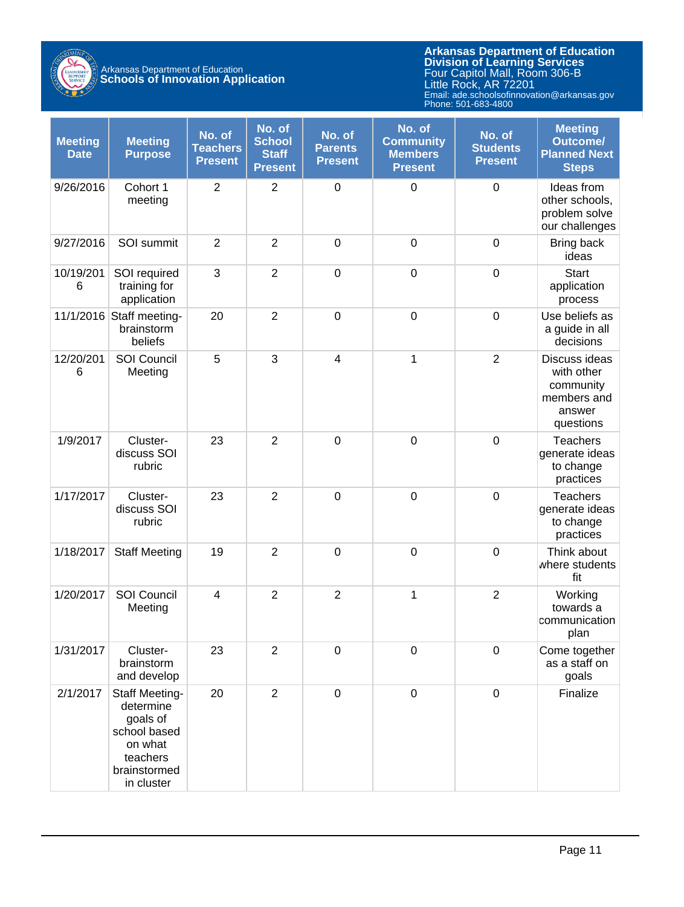

# Arkansas Department of Education **Schools of Innovation Application**

| <b>Meeting</b><br><b>Date</b> | <b>Meeting</b><br><b>Purpose</b>                                                                                    | No. of<br><b>Teachers</b><br><b>Present</b> | No. of<br><b>School</b><br><b>Staff</b><br><b>Present</b> | No. of<br><b>Parents</b><br><b>Present</b> | No. of<br><b>Community</b><br><b>Members</b><br><b>Present</b> | No. of<br><b>Students</b><br><b>Present</b> | <b>Meeting</b><br><b>Outcome/</b><br><b>Planned Next</b><br><b>Steps</b>       |
|-------------------------------|---------------------------------------------------------------------------------------------------------------------|---------------------------------------------|-----------------------------------------------------------|--------------------------------------------|----------------------------------------------------------------|---------------------------------------------|--------------------------------------------------------------------------------|
| 9/26/2016                     | Cohort 1<br>meeting                                                                                                 | $\overline{2}$                              | $\overline{2}$                                            | $\mathbf 0$                                | $\mathbf 0$                                                    | $\mathbf 0$                                 | Ideas from<br>other schools,<br>problem solve<br>our challenges                |
| 9/27/2016                     | SOI summit                                                                                                          | $\overline{2}$                              | $\overline{2}$                                            | $\mathbf 0$                                | $\mathbf 0$                                                    | $\boldsymbol{0}$                            | Bring back<br>ideas                                                            |
| 10/19/201<br>6                | SOI required<br>training for<br>application                                                                         | 3                                           | $\overline{2}$                                            | $\mathbf 0$                                | $\mathbf 0$                                                    | $\boldsymbol{0}$                            | <b>Start</b><br>application<br>process                                         |
|                               | 11/1/2016 Staff meeting-<br>brainstorm<br>beliefs                                                                   | 20                                          | $\overline{2}$                                            | $\mathbf 0$                                | $\mathbf 0$                                                    | $\mathbf 0$                                 | Use beliefs as<br>a guide in all<br>decisions                                  |
| 12/20/201<br>6                | <b>SOI Council</b><br>Meeting                                                                                       | 5                                           | 3                                                         | $\overline{4}$                             | 1                                                              | $\overline{2}$                              | Discuss ideas<br>with other<br>community<br>members and<br>answer<br>questions |
| 1/9/2017                      | Cluster-<br>discuss SOI<br>rubric                                                                                   | 23                                          | $\overline{2}$                                            | $\mathbf 0$                                | $\mathbf 0$                                                    | $\mathbf 0$                                 | Teachers<br>generate ideas<br>to change<br>practices                           |
| 1/17/2017                     | Cluster-<br>discuss SOI<br>rubric                                                                                   | 23                                          | $\overline{2}$                                            | $\mathbf 0$                                | $\boldsymbol{0}$                                               | $\mathbf 0$                                 | Teachers<br>generate ideas<br>to change<br>practices                           |
| 1/18/2017                     | <b>Staff Meeting</b>                                                                                                | 19                                          | $\overline{2}$                                            | $\mathbf 0$                                | $\mathbf 0$                                                    | $\mathbf 0$                                 | Think about<br>where students<br>fit                                           |
| 1/20/2017                     | SOI Council<br>Meeting                                                                                              | $\overline{4}$                              | $\overline{2}$                                            | $\overline{2}$                             | $\mathbf 1$                                                    | $\mathbf 2$                                 | Working<br>towards a<br>communication<br>plan                                  |
| 1/31/2017                     | Cluster-<br>brainstorm<br>and develop                                                                               | 23                                          | $\overline{2}$                                            | 0                                          | $\mathbf 0$                                                    | $\boldsymbol{0}$                            | Come together<br>as a staff on<br>goals                                        |
| 2/1/2017                      | <b>Staff Meeting-</b><br>determine<br>goals of<br>school based<br>on what<br>teachers<br>brainstormed<br>in cluster | 20                                          | $\overline{2}$                                            | $\boldsymbol{0}$                           | $\mathbf 0$                                                    | $\boldsymbol{0}$                            | Finalize                                                                       |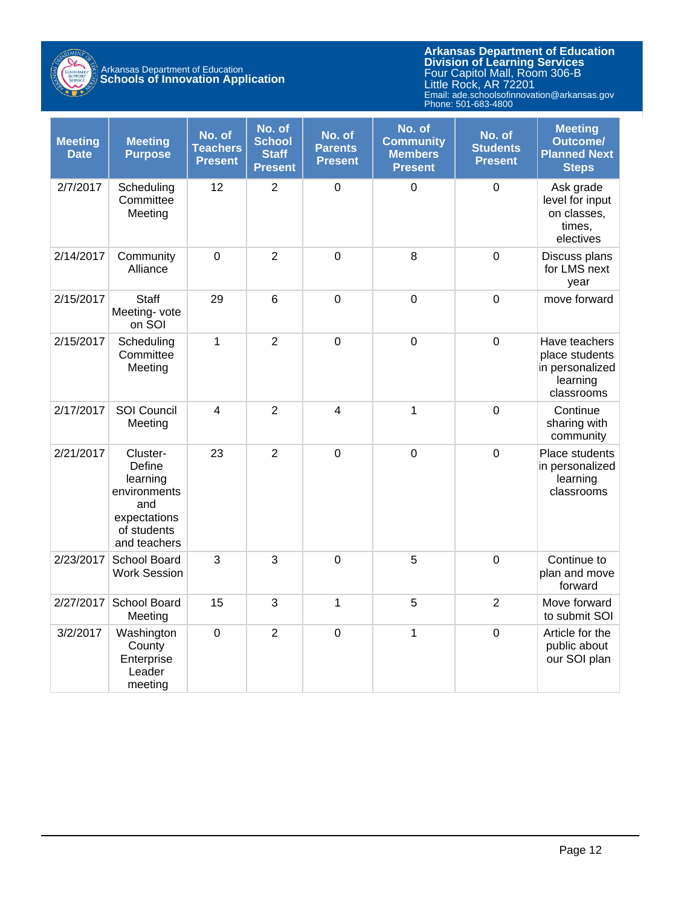

## Arkansas Department of Education **Schools of Innovation Application**

| <b>Meeting</b><br><b>Date</b> | <b>Meeting</b><br><b>Purpose</b>                                                                     | No. of<br><b>Teachers</b><br><b>Present</b> | No. of<br><b>School</b><br><b>Staff</b><br><b>Present</b> | No. of<br><b>Parents</b><br><b>Present</b> | No. of<br><b>Community</b><br><b>Members</b><br><b>Present</b> | No. of<br><b>Students</b><br><b>Present</b> | <b>Meeting</b><br><b>Outcome/</b><br><b>Planned Next</b><br><b>Steps</b>     |
|-------------------------------|------------------------------------------------------------------------------------------------------|---------------------------------------------|-----------------------------------------------------------|--------------------------------------------|----------------------------------------------------------------|---------------------------------------------|------------------------------------------------------------------------------|
| 2/7/2017                      | Scheduling<br>Committee<br>Meeting                                                                   | 12                                          | $\overline{2}$                                            | $\mathbf 0$                                | $\mathbf 0$                                                    | $\mathbf 0$                                 | Ask grade<br>level for input<br>on classes,<br>times,<br>electives           |
| 2/14/2017                     | Community<br>Alliance                                                                                | $\mathbf 0$                                 | $\overline{2}$                                            | $\mathbf 0$                                | 8                                                              | $\mathbf 0$                                 | Discuss plans<br>for LMS next<br>year                                        |
| 2/15/2017                     | Staff<br>Meeting- vote<br>on SOI                                                                     | 29                                          | $6\phantom{1}6$                                           | $\overline{0}$                             | $\mathbf 0$                                                    | $\mathbf 0$                                 | move forward                                                                 |
| 2/15/2017                     | Scheduling<br>Committee<br>Meeting                                                                   | $\mathbf{1}$                                | $\overline{2}$                                            | $\overline{0}$                             | $\mathbf 0$                                                    | $\mathbf 0$                                 | Have teachers<br>place students<br>in personalized<br>learning<br>classrooms |
| 2/17/2017                     | SOI Council<br>Meeting                                                                               | $\overline{4}$                              | $\overline{2}$                                            | $\overline{4}$                             | 1                                                              | $\mathbf 0$                                 | Continue<br>sharing with<br>community                                        |
| 2/21/2017                     | Cluster-<br>Define<br>learning<br>environments<br>and<br>expectations<br>of students<br>and teachers | 23                                          | $\overline{2}$                                            | $\mathbf 0$                                | $\mathbf 0$                                                    | $\mathbf 0$                                 | Place students<br>in personalized<br>learning<br>classrooms                  |
| 2/23/2017                     | School Board<br><b>Work Session</b>                                                                  | 3                                           | 3                                                         | $\mathbf 0$                                | 5                                                              | $\mathbf 0$                                 | Continue to<br>plan and move<br>forward                                      |
| 2/27/2017                     | School Board<br>Meeting                                                                              | 15                                          | 3                                                         | 1                                          | 5                                                              | $\overline{2}$                              | Move forward<br>to submit SOI                                                |
| 3/2/2017                      | Washington<br>County<br>Enterprise<br>Leader<br>meeting                                              | $\mathbf 0$                                 | $\overline{2}$                                            | $\overline{0}$                             | $\mathbf{1}$                                                   | $\mathbf 0$                                 | Article for the<br>public about<br>our SOI plan                              |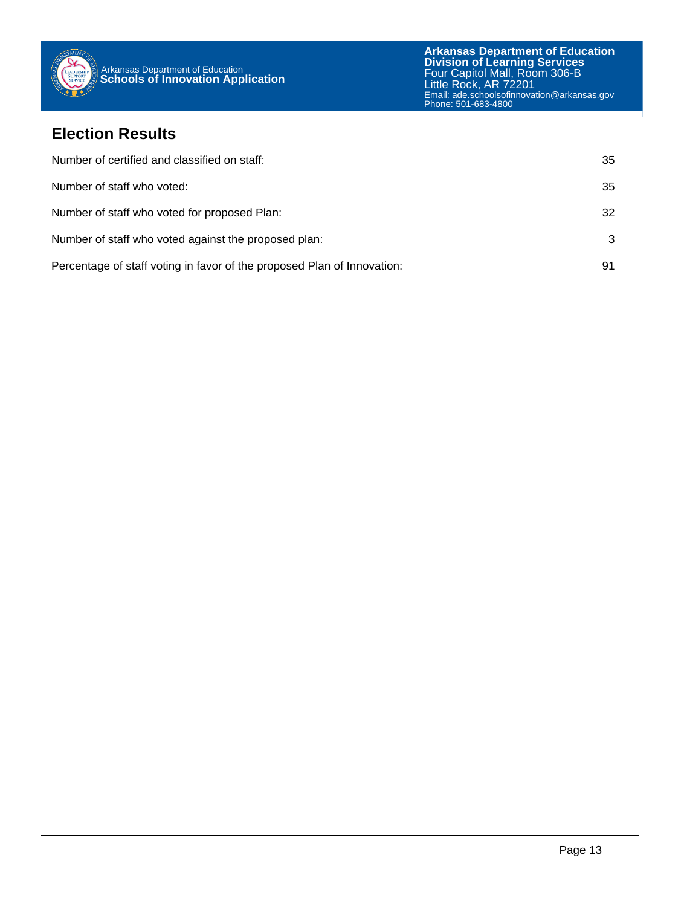

### **Election Results**

| Number of certified and classified on staff:                            | 35 |
|-------------------------------------------------------------------------|----|
| Number of staff who voted:                                              | 35 |
| Number of staff who voted for proposed Plan:                            | 32 |
| Number of staff who voted against the proposed plan:                    | 3  |
| Percentage of staff voting in favor of the proposed Plan of Innovation: | 91 |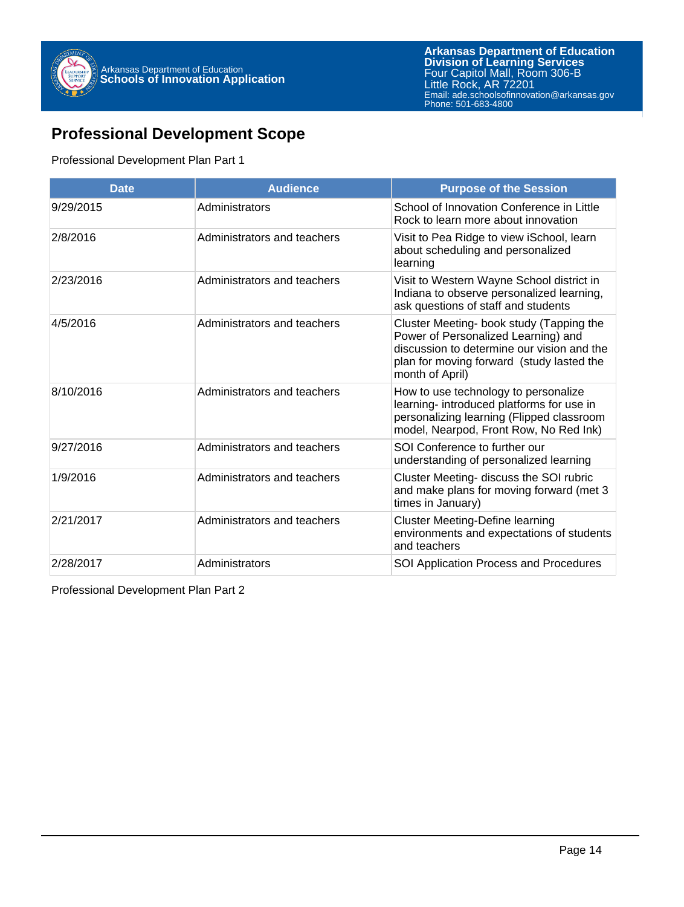

## **Professional Development Scope**

#### Professional Development Plan Part 1

| <b>Date</b> | <b>Audience</b>             | <b>Purpose of the Session</b>                                                                                                                                                                 |
|-------------|-----------------------------|-----------------------------------------------------------------------------------------------------------------------------------------------------------------------------------------------|
| 9/29/2015   | Administrators              | School of Innovation Conference in Little<br>Rock to learn more about innovation                                                                                                              |
| 2/8/2016    | Administrators and teachers | Visit to Pea Ridge to view iSchool, learn<br>about scheduling and personalized<br>learning                                                                                                    |
| 2/23/2016   | Administrators and teachers | Visit to Western Wayne School district in<br>Indiana to observe personalized learning,<br>ask questions of staff and students                                                                 |
| 4/5/2016    | Administrators and teachers | Cluster Meeting- book study (Tapping the<br>Power of Personalized Learning) and<br>discussion to determine our vision and the<br>plan for moving forward (study lasted the<br>month of April) |
| 8/10/2016   | Administrators and teachers | How to use technology to personalize<br>learning- introduced platforms for use in<br>personalizing learning (Flipped classroom<br>model, Nearpod, Front Row, No Red Ink)                      |
| 9/27/2016   | Administrators and teachers | SOI Conference to further our<br>understanding of personalized learning                                                                                                                       |
| 1/9/2016    | Administrators and teachers | Cluster Meeting- discuss the SOI rubric<br>and make plans for moving forward (met 3<br>times in January)                                                                                      |
| 2/21/2017   | Administrators and teachers | <b>Cluster Meeting-Define learning</b><br>environments and expectations of students<br>and teachers                                                                                           |
| 2/28/2017   | Administrators              | SOI Application Process and Procedures                                                                                                                                                        |

Professional Development Plan Part 2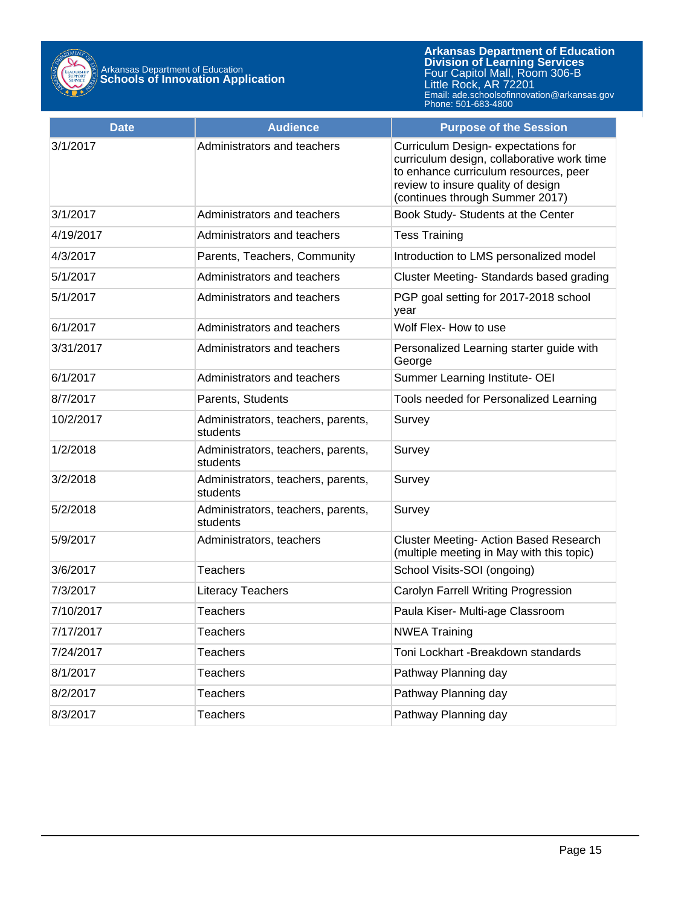

| <b>Date</b> | <b>Audience</b>                                | <b>Purpose of the Session</b>                                                                                                                                                                      |
|-------------|------------------------------------------------|----------------------------------------------------------------------------------------------------------------------------------------------------------------------------------------------------|
| 3/1/2017    | Administrators and teachers                    | Curriculum Design-expectations for<br>curriculum design, collaborative work time<br>to enhance curriculum resources, peer<br>review to insure quality of design<br>(continues through Summer 2017) |
| 3/1/2017    | Administrators and teachers                    | Book Study- Students at the Center                                                                                                                                                                 |
| 4/19/2017   | Administrators and teachers                    | <b>Tess Training</b>                                                                                                                                                                               |
| 4/3/2017    | Parents, Teachers, Community                   | Introduction to LMS personalized model                                                                                                                                                             |
| 5/1/2017    | Administrators and teachers                    | Cluster Meeting-Standards based grading                                                                                                                                                            |
| 5/1/2017    | Administrators and teachers                    | PGP goal setting for 2017-2018 school<br>year                                                                                                                                                      |
| 6/1/2017    | Administrators and teachers                    | Wolf Flex- How to use                                                                                                                                                                              |
| 3/31/2017   | Administrators and teachers                    | Personalized Learning starter guide with<br>George                                                                                                                                                 |
| 6/1/2017    | Administrators and teachers                    | Summer Learning Institute- OEI                                                                                                                                                                     |
| 8/7/2017    | Parents, Students                              | Tools needed for Personalized Learning                                                                                                                                                             |
| 10/2/2017   | Administrators, teachers, parents,<br>students | Survey                                                                                                                                                                                             |
| 1/2/2018    | Administrators, teachers, parents,<br>students | Survey                                                                                                                                                                                             |
| 3/2/2018    | Administrators, teachers, parents,<br>students | Survey                                                                                                                                                                                             |
| 5/2/2018    | Administrators, teachers, parents,<br>students | Survey                                                                                                                                                                                             |
| 5/9/2017    | Administrators, teachers                       | <b>Cluster Meeting- Action Based Research</b><br>(multiple meeting in May with this topic)                                                                                                         |
| 3/6/2017    | <b>Teachers</b>                                | School Visits-SOI (ongoing)                                                                                                                                                                        |
| 7/3/2017    | <b>Literacy Teachers</b>                       | Carolyn Farrell Writing Progression                                                                                                                                                                |
| 7/10/2017   | <b>Teachers</b>                                | Paula Kiser- Multi-age Classroom                                                                                                                                                                   |
| 7/17/2017   | <b>Teachers</b>                                | <b>NWEA Training</b>                                                                                                                                                                               |
| 7/24/2017   | <b>Teachers</b>                                | Toni Lockhart - Breakdown standards                                                                                                                                                                |
| 8/1/2017    | <b>Teachers</b>                                | Pathway Planning day                                                                                                                                                                               |
| 8/2/2017    | <b>Teachers</b>                                | Pathway Planning day                                                                                                                                                                               |
| 8/3/2017    | <b>Teachers</b>                                | Pathway Planning day                                                                                                                                                                               |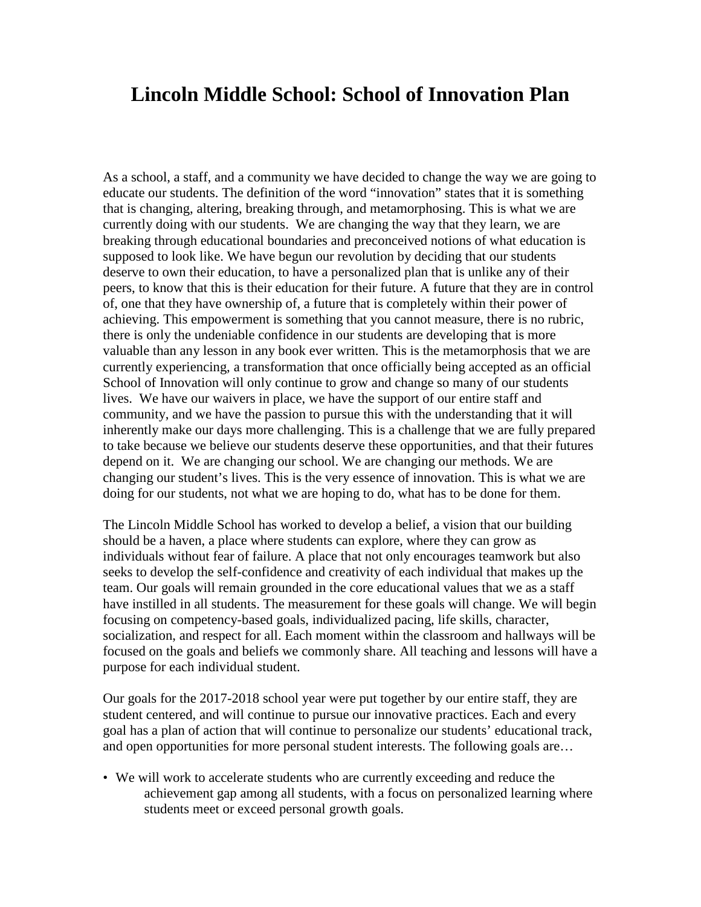## **Lincoln Middle School: School of Innovation Plan**

As a school, a staff, and a community we have decided to change the way we are going to educate our students. The definition of the word "innovation" states that it is something that is changing, altering, breaking through, and metamorphosing. This is what we are currently doing with our students. We are changing the way that they learn, we are breaking through educational boundaries and preconceived notions of what education is supposed to look like. We have begun our revolution by deciding that our students deserve to own their education, to have a personalized plan that is unlike any of their peers, to know that this is their education for their future. A future that they are in control of, one that they have ownership of, a future that is completely within their power of achieving. This empowerment is something that you cannot measure, there is no rubric, there is only the undeniable confidence in our students are developing that is more valuable than any lesson in any book ever written. This is the metamorphosis that we are currently experiencing, a transformation that once officially being accepted as an official School of Innovation will only continue to grow and change so many of our students lives. We have our waivers in place, we have the support of our entire staff and community, and we have the passion to pursue this with the understanding that it will inherently make our days more challenging. This is a challenge that we are fully prepared to take because we believe our students deserve these opportunities, and that their futures depend on it. We are changing our school. We are changing our methods. We are changing our student's lives. This is the very essence of innovation. This is what we are doing for our students, not what we are hoping to do, what has to be done for them.

The Lincoln Middle School has worked to develop a belief, a vision that our building should be a haven, a place where students can explore, where they can grow as individuals without fear of failure. A place that not only encourages teamwork but also seeks to develop the self-confidence and creativity of each individual that makes up the team. Our goals will remain grounded in the core educational values that we as a staff have instilled in all students. The measurement for these goals will change. We will begin focusing on competency-based goals, individualized pacing, life skills, character, socialization, and respect for all. Each moment within the classroom and hallways will be focused on the goals and beliefs we commonly share. All teaching and lessons will have a purpose for each individual student.

Our goals for the 2017-2018 school year were put together by our entire staff, they are student centered, and will continue to pursue our innovative practices. Each and every goal has a plan of action that will continue to personalize our students' educational track, and open opportunities for more personal student interests. The following goals are…

• We will work to accelerate students who are currently exceeding and reduce the achievement gap among all students, with a focus on personalized learning where students meet or exceed personal growth goals.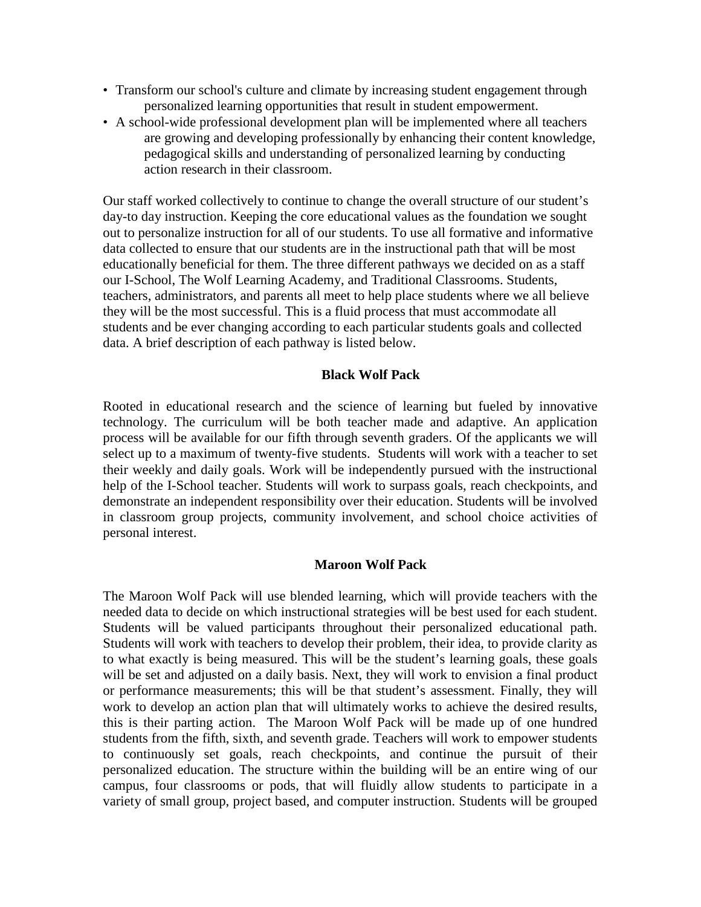- Transform our school's culture and climate by increasing student engagement through personalized learning opportunities that result in student empowerment.
- A school-wide professional development plan will be implemented where all teachers are growing and developing professionally by enhancing their content knowledge, pedagogical skills and understanding of personalized learning by conducting action research in their classroom.

Our staff worked collectively to continue to change the overall structure of our student's day-to day instruction. Keeping the core educational values as the foundation we sought out to personalize instruction for all of our students. To use all formative and informative data collected to ensure that our students are in the instructional path that will be most educationally beneficial for them. The three different pathways we decided on as a staff our I-School, The Wolf Learning Academy, and Traditional Classrooms. Students, teachers, administrators, and parents all meet to help place students where we all believe they will be the most successful. This is a fluid process that must accommodate all students and be ever changing according to each particular students goals and collected data. A brief description of each pathway is listed below.

#### **Black Wolf Pack**

Rooted in educational research and the science of learning but fueled by innovative technology. The curriculum will be both teacher made and adaptive. An application process will be available for our fifth through seventh graders. Of the applicants we will select up to a maximum of twenty-five students. Students will work with a teacher to set their weekly and daily goals. Work will be independently pursued with the instructional help of the I-School teacher. Students will work to surpass goals, reach checkpoints, and demonstrate an independent responsibility over their education. Students will be involved in classroom group projects, community involvement, and school choice activities of personal interest.

#### **Maroon Wolf Pack**

The Maroon Wolf Pack will use blended learning, which will provide teachers with the needed data to decide on which instructional strategies will be best used for each student. Students will be valued participants throughout their personalized educational path. Students will work with teachers to develop their problem, their idea, to provide clarity as to what exactly is being measured. This will be the student's learning goals, these goals will be set and adjusted on a daily basis. Next, they will work to envision a final product or performance measurements; this will be that student's assessment. Finally, they will work to develop an action plan that will ultimately works to achieve the desired results, this is their parting action. The Maroon Wolf Pack will be made up of one hundred students from the fifth, sixth, and seventh grade. Teachers will work to empower students to continuously set goals, reach checkpoints, and continue the pursuit of their personalized education. The structure within the building will be an entire wing of our campus, four classrooms or pods, that will fluidly allow students to participate in a variety of small group, project based, and computer instruction. Students will be grouped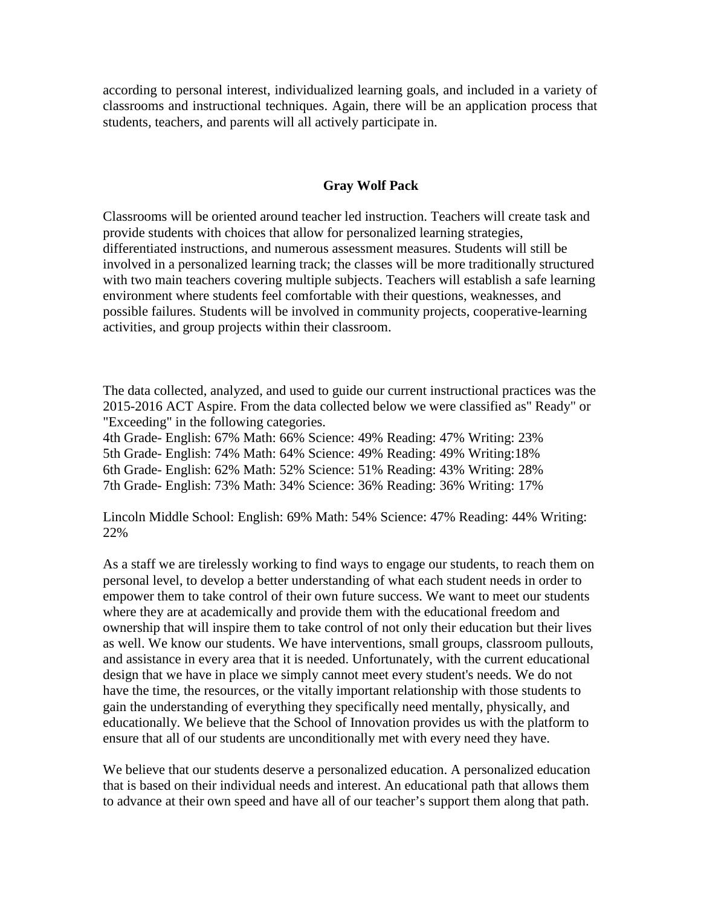according to personal interest, individualized learning goals, and included in a variety of classrooms and instructional techniques. Again, there will be an application process that students, teachers, and parents will all actively participate in.

#### **Gray Wolf Pack**

Classrooms will be oriented around teacher led instruction. Teachers will create task and provide students with choices that allow for personalized learning strategies, differentiated instructions, and numerous assessment measures. Students will still be involved in a personalized learning track; the classes will be more traditionally structured with two main teachers covering multiple subjects. Teachers will establish a safe learning environment where students feel comfortable with their questions, weaknesses, and possible failures. Students will be involved in community projects, cooperative-learning activities, and group projects within their classroom.

The data collected, analyzed, and used to guide our current instructional practices was the 2015-2016 ACT Aspire. From the data collected below we were classified as" Ready" or "Exceeding" in the following categories.

4th Grade- English: 67% Math: 66% Science: 49% Reading: 47% Writing: 23% 5th Grade- English: 74% Math: 64% Science: 49% Reading: 49% Writing:18% 6th Grade- English: 62% Math: 52% Science: 51% Reading: 43% Writing: 28% 7th Grade- English: 73% Math: 34% Science: 36% Reading: 36% Writing: 17%

Lincoln Middle School: English: 69% Math: 54% Science: 47% Reading: 44% Writing: 22%

As a staff we are tirelessly working to find ways to engage our students, to reach them on personal level, to develop a better understanding of what each student needs in order to empower them to take control of their own future success. We want to meet our students where they are at academically and provide them with the educational freedom and ownership that will inspire them to take control of not only their education but their lives as well. We know our students. We have interventions, small groups, classroom pullouts, and assistance in every area that it is needed. Unfortunately, with the current educational design that we have in place we simply cannot meet every student's needs. We do not have the time, the resources, or the vitally important relationship with those students to gain the understanding of everything they specifically need mentally, physically, and educationally. We believe that the School of Innovation provides us with the platform to ensure that all of our students are unconditionally met with every need they have.

We believe that our students deserve a personalized education. A personalized education that is based on their individual needs and interest. An educational path that allows them to advance at their own speed and have all of our teacher's support them along that path.